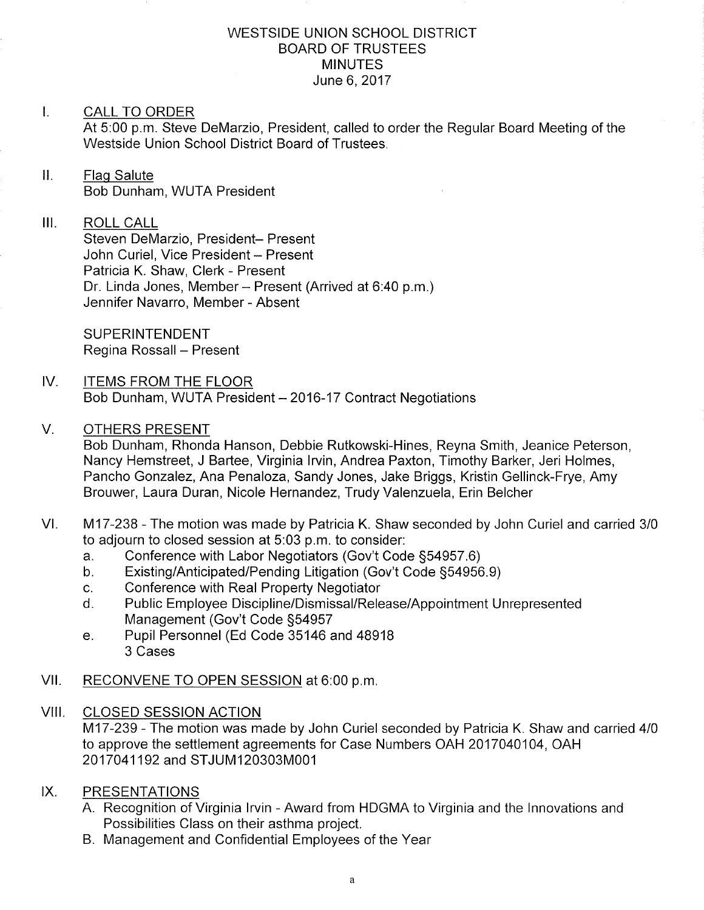#### WESTSIDE UNION SCHOOL DISTRICT BOARD OF TRUSTEES **MINUTES** June 6, 2017

#### I. CALL TO ORDER

At 5:00 p.m. Steve DeMarzio, President, called to order the Regular Board Meeting of the Westside Union School District Board of Trustees.

### ll. Flaq Salute Bob Dunham, WUTA President

#### III. ROLL CALL

Steven DeMarzio, President- Present John Curiel, Vice President - Present Patricia K. Shaw, Clerk - Present Dr. Linda Jones, Member - Present (Arrived at 6:40 p.m.) Jennifer Navarro, Member - Absent

SUPERINTENDENT Regina Rossall - Present

#### IV. ITEMS FROM THE FLOOR Bob Dunham, WUTA President - 2016-17 Contract Negotiations

#### V OTHERS PRESENT

Bob Dunham, Rhonda Hanson, Debbie Rutkowski-Hines, Reyna Smith, Jeanice Peterson, Nancy Hemstreet, J Bartee, Virginia lrvin, Andrea Paxton, Timothy Barker, Jeri Holmes, Pancho Gonzalez, Ana Penaloza, Sandy Jones, Jake Briggs, Kristin Gellinck-Frye, Amy Brouwer, Laura Duran, Nicole Hernandez, Trudy Valenzuela, Erin Belcher

- VI. M17-238 The motion was made by Patricia K. Shaw seconded by John Curiel and carried 3/0 to adjourn to closed session at 5:03 p.m. to consider:
	-
	- a. Conference with Labor Negotiators (Gov't Code §54957.6)<br>b. Existing/Anticipated/Pending Litigation (Gov't Code §54956.9)<br>c. Conference with Real Property Negotiator
	-
	- c. Conference with Real Property Negotiator<br>d. Public Employee Discipline/Dismissal/Release/Appointment Unrepresented Management (Gov't Code 554957
	- e. Pupil Personnel (Ed Code 35146 and 48918 3 Cases
- Vll. RECONVENE TO OPEN SESSION at 6:00 p.m
- VIII. CLOSED SESSION ACTION M17-239 - The motion was made by John Curiel seconded by Patricia K. Shaw and carried 4/0 to approve the settlement agreements for Case Numbers OAH 2017040104, OAH 2017041192 and STJUM120303M001
- PRESENTATIONS  $IX.$ 
	- A. Recognition of Virginia lrvin Award from HDGMA to Virginia and the lnnovations and Possibilities Class on their asthma project.
	- B. Management and Confidential Employees of the Year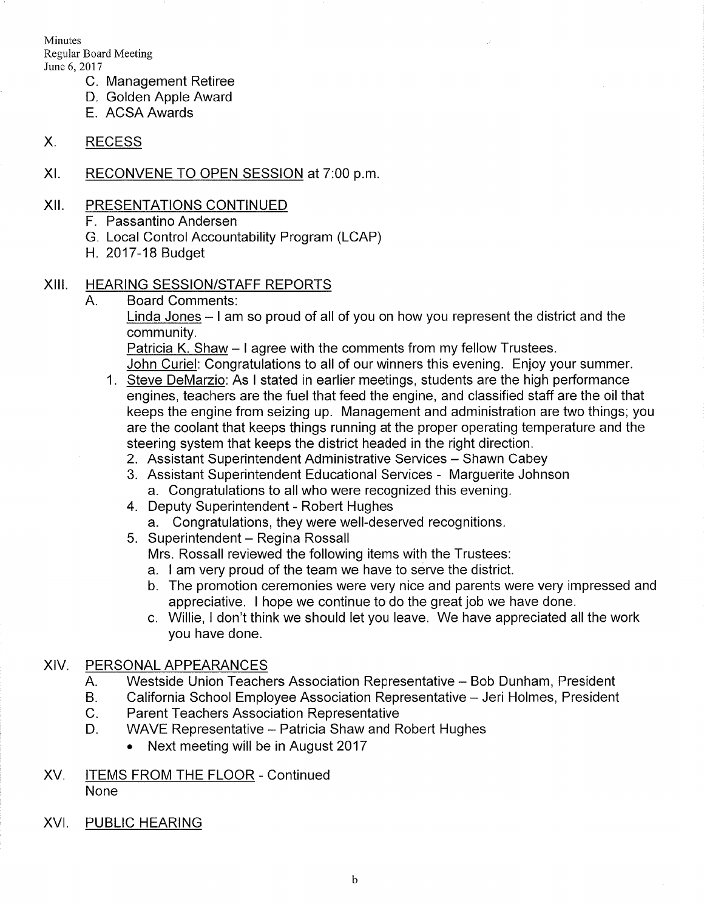Minutes Regular Board Meeting June 6, 2017

- C. Management Retiree
- D. Golden Apple Award
- E. ACSA Awards

#### X. RECESS

Xl. RECONVENE TO OPEN SESSION at 7:00 p.m

#### xil PRESENTATIONS CONTINUED

- F. Passantino Andersen
- G. Local Control Accountability Program (LCAP)
- H. 2017-18 Budget

#### XIII. HEARING SESSION/STAFF REPORTS

A. Board Comments:

Linda Jones - I am so proud of all of you on how you represent the district and the community

Patricia K. Shaw - I agree with the comments from my fellow Trustees.

John Curiel: Congratulations to all of our winners this evening. Enjoy your summer.

- 1. Steve DeMarzio: As I stated in earlier meetings, students are the high performance engines, teachers are the fuel that feed the engine, and classified staff are the oil that keeps the engine from seizing up. Management and administration are two things; you are the coolant that keeps things running at the proper operating temperature and the steering system that keeps the district headed in the right direction.
	-
	- 2. Assistant Superintendent Administrative Services Shawn Cabey<br>3. Assistant Superintendent Educational Services Marguerite Johnson a. Congratulations to all who were recognized this evening. 4. Deputy Superintendent - Robert Hughes
	- - a. Congratulations, they were well-deserved recognitions.
	- 5. Superintendent Regina Rossall

Mrs. Rossall reviewed the following items with the Trustees:

- a. I am very proud of the team we have to serve the district.
- b. The promotion ceremonies were very nice and parents were very impressed and appreciative. I hope we continue to do the great job we have done.
- c. Willie, I don't think we should let you leave. We have appreciated all the work you have done.

### XIV. PERSONALAPPEARANCES

- A. Westside Union Teachers Association Representative - Bob Dunham, President
- B. California School Employee Association Representative - Jeri Holmes, President
- C. Parent Teachers Association Representative
- D. WAVE Representative - Patricia Shaw and Robert Hughes
	- . Next meeting will be in August 2017
- XV. ITEMS FROM THE FLOOR Continued None
- XVI. PUBLIC HEARING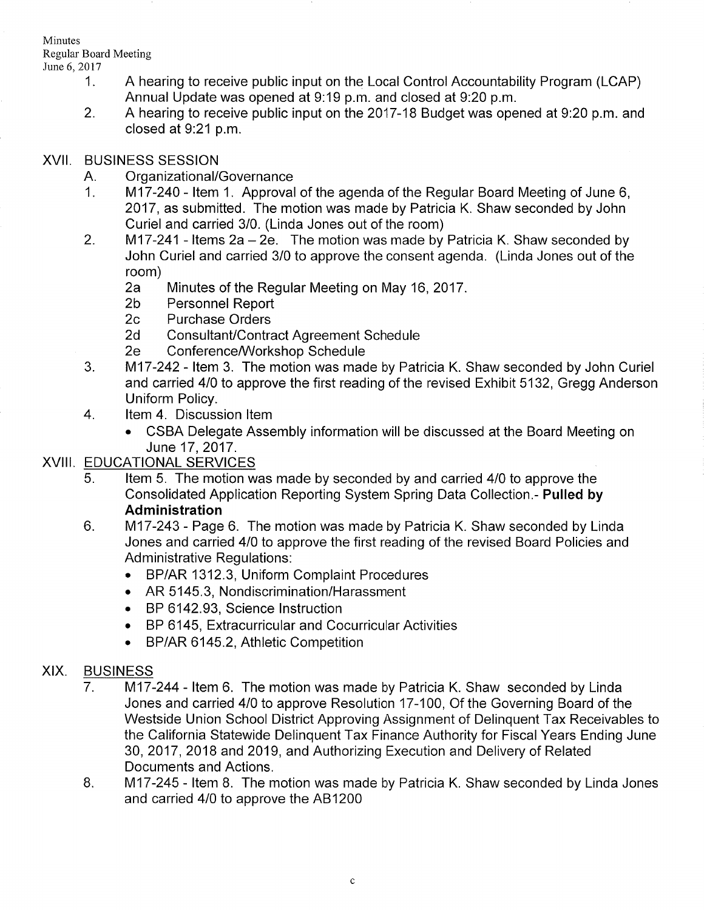**Minutes** Regular Board Meeting

- Iune 6,2017 1. A hearing to receive public input on the Local Control Accountability Program (LCAP) Annual Update was opened at 9:19 p.m. and closed at 9:20 p.m.<br>2. A hearing to receive public input on the 2017-18 Budget was opened at 9:20 p.m. and
	- closed at 9:21 p.m.

#### XVII. BUSINESS SESSION

- 
- A. Organizational/Governance<br>1. 1. 117-240 Item 1. Approval of the agenda of the Regular Board Meeting of June 6, 2017, as submitted. The motion was made by Patricia K. Shaw seconded by John Curiel and carried 3/0. (Linda Jones out of the room)<br>2. fú17-241 - Items 2a - 2e. The motion was made by Patricia K. Shaw seconded by
- John Curiel and carried 3/0 to approve the consent agenda. (Linda Jones out of the
	- room)<br>2a Minutes of the Regular Meeting on May 16, 2017.<br>2b Personnel Report<br>2c Purchase Orders
	-
	-
	-
	-
- 2d Consultant/Contract Agreement Schedule<br>2e Conference/Workshop Schedule<br>3. 1V17-242 Item 3. The motion was made by Patricia K. Shaw seconded by John Curiel and carried 410 to approve the first reading of the revised Exhibit 5132, Gregg Anderson
- 4. Item 4. Discussion Item
	- . CSBA Delegate Assembly information will be discussed at the Board Meeting on June 17,2017.

# XVIII. EDUCATIONAL SERVICES

- 5. Item 5. The motion was made by seconded by and carried 4/0 to approve the Consolidated Application Reporting System Spring Data Collection.- Pulled by Administration
- M17-243 Page 6. The motion was made by Patricia K. Shaw seconded by Linda Jones and carried 410 to approve the first reading of the revised Board Policies and Administrative Regulations:  $6.$ 
	- . BP/AR 1312.3, Uniform Complaint Procedures
	- . AR 5145.3, Nondiscrimination/Harassment
	- . BP 6142.93, Science lnstruction
	- . BP 6145, Extracurricular and Cocurricular Activities
	- BP/AR 6145.2, Athletic Competition

## XIX. BUSINESS

- 7. M17-244 Item 6. The motion was made by Patricia K. Shaw seconded by Linda Jones and carried 410 to approve Resolution 17-100, Of the Governing Board of the Westside Union School District Approving Assignment of Delinquent Tax Receivables to the California Statewide Delinquent Tax Finance Authority for Fiscal Years Ending June 30,2017,2018 and 2019, and Authorizing Execution and Delivery of Related Documents and Actions.
- $M17-245$  Item 8. The motion was made by Patricia K. Shaw seconded by Linda Jones and carried 4/0 to approve the AB1200 8